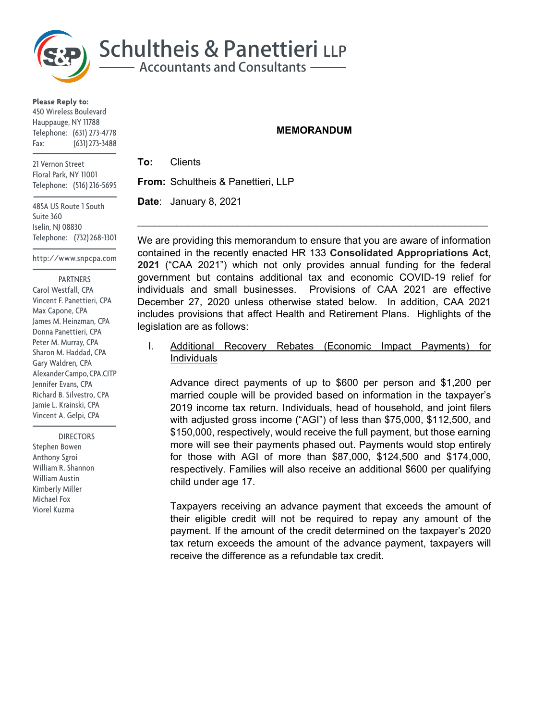

**Please Reply to:** 450 Wireless Boulevard Hauppauge, NY 11788 Telephone: (631) 273-4778 Fax: (631) 273-3488

21 Vernon Street Floral Park, NY 11001 Telephone: (516) 216-5695

485A US Route 1 South Suite 360 Iselin, NJ 08830 Telephone: (732) 268-1301

http://www.snpcpa.com

 PARTNERS Carol Westfall, CPA Vincent F. Panettieri, CPA Max Capone, CPA James M. Heinzman, CPA Donna Panettieri, CPA Peter M. Murray, CPA Sharon M. Haddad, CPA Gary Waldren, CPA Alexander Campo, CPA.CITP Jennifer Evans, CPA Richard B. Silvestro, CPA Jamie L. Krainski, CPA Vincent A. Gelpi, CPA

 DIRECTORS Stephen Bowen Anthony Sgroi William R. Shannon William Austin Kimberly Miller Michael Fox Viorel Kuzma

#### **MEMORANDUM**

**To:** Clients **From:** Schultheis & Panettieri, LLP

**Date**: January 8, 2021

We are providing this memorandum to ensure that you are aware of information contained in the recently enacted HR 133 **Consolidated Appropriations Act, 2021** ("CAA 2021") which not only provides annual funding for the federal government but contains additional tax and economic COVID-19 relief for individuals and small businesses. Provisions of CAA 2021 are effective December 27, 2020 unless otherwise stated below. In addition, CAA 2021 includes provisions that affect Health and Retirement Plans. Highlights of the legislation are as follows:

 $\mathcal{L}_\text{max} = \mathcal{L}_\text{max} = \mathcal{L}_\text{max} = \mathcal{L}_\text{max} = \mathcal{L}_\text{max} = \mathcal{L}_\text{max} = \mathcal{L}_\text{max} = \mathcal{L}_\text{max} = \mathcal{L}_\text{max} = \mathcal{L}_\text{max} = \mathcal{L}_\text{max} = \mathcal{L}_\text{max} = \mathcal{L}_\text{max} = \mathcal{L}_\text{max} = \mathcal{L}_\text{max} = \mathcal{L}_\text{max} = \mathcal{L}_\text{max} = \mathcal{L}_\text{max} = \mathcal{$ 

I. Additional Recovery Rebates (Economic Impact Payments) for Individuals

Advance direct payments of up to \$600 per person and \$1,200 per married couple will be provided based on information in the taxpayer's 2019 income tax return. Individuals, head of household, and joint filers with adjusted gross income ("AGI") of less than \$75,000, \$112,500, and \$150,000, respectively, would receive the full payment, but those earning more will see their payments phased out. Payments would stop entirely for those with AGI of more than \$87,000, \$124,500 and \$174,000, respectively. Families will also receive an additional \$600 per qualifying child under age 17.

Taxpayers receiving an advance payment that exceeds the amount of their eligible credit will not be required to repay any amount of the payment. If the amount of the credit determined on the taxpayer's 2020 tax return exceeds the amount of the advance payment, taxpayers will receive the difference as a refundable tax credit.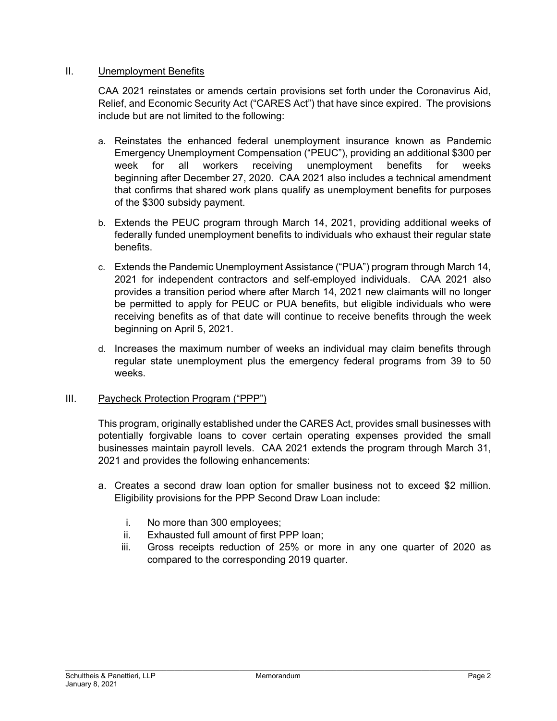# II. Unemployment Benefits

CAA 2021 reinstates or amends certain provisions set forth under the Coronavirus Aid, Relief, and Economic Security Act ("CARES Act") that have since expired. The provisions include but are not limited to the following:

- a. Reinstates the enhanced federal unemployment insurance known as Pandemic Emergency Unemployment Compensation ("PEUC"), providing an additional \$300 per week for all workers receiving unemployment benefits for weeks beginning after December 27, 2020. CAA 2021 also includes a technical amendment that confirms that shared work plans qualify as unemployment benefits for purposes of the \$300 subsidy payment.
- b. Extends the PEUC program through March 14, 2021, providing additional weeks of federally funded unemployment benefits to individuals who exhaust their regular state benefits.
- c. Extends the Pandemic Unemployment Assistance ("PUA") program through March 14, 2021 for independent contractors and self-employed individuals. CAA 2021 also provides a transition period where after March 14, 2021 new claimants will no longer be permitted to apply for PEUC or PUA benefits, but eligible individuals who were receiving benefits as of that date will continue to receive benefits through the week beginning on April 5, 2021.
- d. Increases the maximum number of weeks an individual may claim benefits through regular state unemployment plus the emergency federal programs from 39 to 50 weeks.

# III. Paycheck Protection Program ("PPP")

This program, originally established under the CARES Act, provides small businesses with potentially forgivable loans to cover certain operating expenses provided the small businesses maintain payroll levels. CAA 2021 extends the program through March 31, 2021 and provides the following enhancements:

- a. Creates a second draw loan option for smaller business not to exceed \$2 million. Eligibility provisions for the PPP Second Draw Loan include:
	- i. No more than 300 employees;
	- ii. Exhausted full amount of first PPP loan;
	- iii. Gross receipts reduction of 25% or more in any one quarter of 2020 as compared to the corresponding 2019 quarter.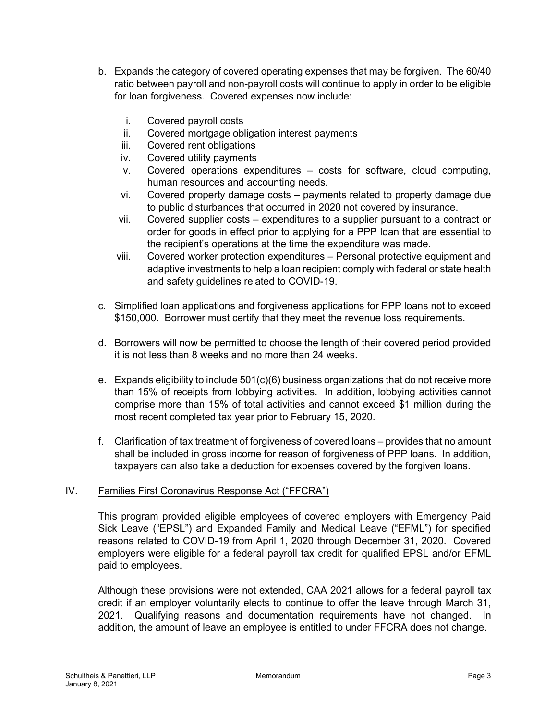- b. Expands the category of covered operating expenses that may be forgiven. The 60/40 ratio between payroll and non-payroll costs will continue to apply in order to be eligible for loan forgiveness. Covered expenses now include:
	- i. Covered payroll costs
	- ii. Covered mortgage obligation interest payments
	- iii. Covered rent obligations
	- iv. Covered utility payments
	- v. Covered operations expenditures costs for software, cloud computing, human resources and accounting needs.
	- vi. Covered property damage costs payments related to property damage due to public disturbances that occurred in 2020 not covered by insurance.
	- vii. Covered supplier costs expenditures to a supplier pursuant to a contract or order for goods in effect prior to applying for a PPP loan that are essential to the recipient's operations at the time the expenditure was made.
	- viii. Covered worker protection expenditures Personal protective equipment and adaptive investments to help a loan recipient comply with federal or state health and safety guidelines related to COVID-19.
- c. Simplified loan applications and forgiveness applications for PPP loans not to exceed \$150,000. Borrower must certify that they meet the revenue loss requirements.
- d. Borrowers will now be permitted to choose the length of their covered period provided it is not less than 8 weeks and no more than 24 weeks.
- e. Expands eligibility to include  $501(c)(6)$  business organizations that do not receive more than 15% of receipts from lobbying activities. In addition, lobbying activities cannot comprise more than 15% of total activities and cannot exceed \$1 million during the most recent completed tax year prior to February 15, 2020.
- f. Clarification of tax treatment of forgiveness of covered loans provides that no amount shall be included in gross income for reason of forgiveness of PPP loans. In addition, taxpayers can also take a deduction for expenses covered by the forgiven loans.

# IV. Families First Coronavirus Response Act ("FFCRA")

This program provided eligible employees of covered employers with Emergency Paid Sick Leave ("EPSL") and Expanded Family and Medical Leave ("EFML") for specified reasons related to COVID-19 from April 1, 2020 through December 31, 2020. Covered employers were eligible for a federal payroll tax credit for qualified EPSL and/or EFML paid to employees.

Although these provisions were not extended, CAA 2021 allows for a federal payroll tax credit if an employer voluntarily elects to continue to offer the leave through March 31, 2021. Qualifying reasons and documentation requirements have not changed. In addition, the amount of leave an employee is entitled to under FFCRA does not change.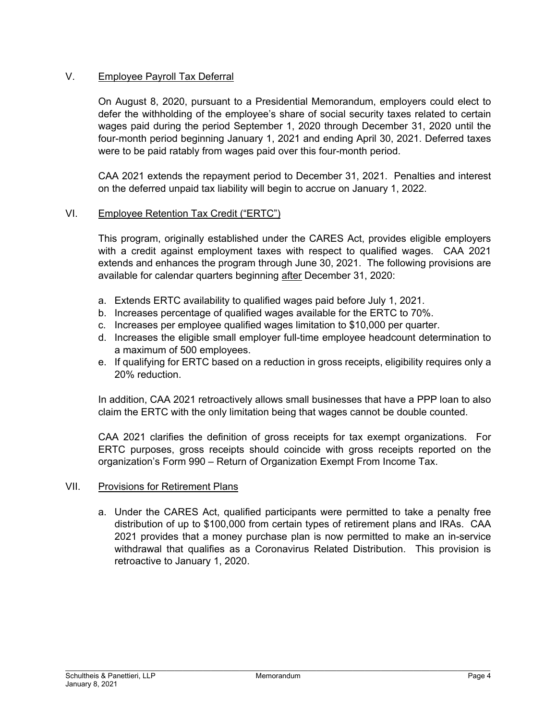# V. Employee Payroll Tax Deferral

On August 8, 2020, pursuant to a Presidential Memorandum, employers could elect to defer the withholding of the employee's share of social security taxes related to certain wages paid during the period September 1, 2020 through December 31, 2020 until the four-month period beginning January 1, 2021 and ending April 30, 2021. Deferred taxes were to be paid ratably from wages paid over this four-month period.

CAA 2021 extends the repayment period to December 31, 2021. Penalties and interest on the deferred unpaid tax liability will begin to accrue on January 1, 2022.

# VI. Employee Retention Tax Credit ("ERTC")

This program, originally established under the CARES Act, provides eligible employers with a credit against employment taxes with respect to qualified wages. CAA 2021 extends and enhances the program through June 30, 2021. The following provisions are available for calendar quarters beginning after December 31, 2020:

- a. Extends ERTC availability to qualified wages paid before July 1, 2021.
- b. Increases percentage of qualified wages available for the ERTC to 70%.
- c. Increases per employee qualified wages limitation to \$10,000 per quarter.
- d. Increases the eligible small employer full-time employee headcount determination to a maximum of 500 employees.
- e. If qualifying for ERTC based on a reduction in gross receipts, eligibility requires only a 20% reduction.

In addition, CAA 2021 retroactively allows small businesses that have a PPP loan to also claim the ERTC with the only limitation being that wages cannot be double counted.

CAA 2021 clarifies the definition of gross receipts for tax exempt organizations. For ERTC purposes, gross receipts should coincide with gross receipts reported on the organization's Form 990 – Return of Organization Exempt From Income Tax.

# VII. Provisions for Retirement Plans

a. Under the CARES Act, qualified participants were permitted to take a penalty free distribution of up to \$100,000 from certain types of retirement plans and IRAs. CAA 2021 provides that a money purchase plan is now permitted to make an in-service withdrawal that qualifies as a Coronavirus Related Distribution. This provision is retroactive to January 1, 2020.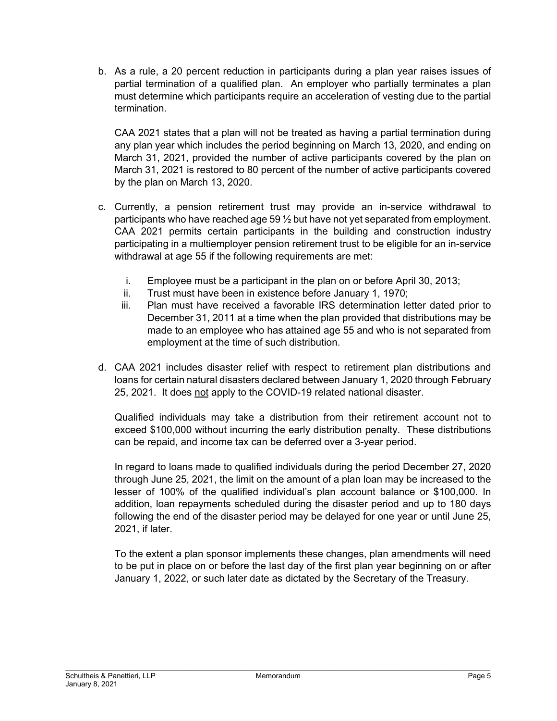b. As a rule, a 20 percent reduction in participants during a plan year raises issues of partial termination of a qualified plan. An employer who partially terminates a plan must determine which participants require an acceleration of vesting due to the partial termination.

CAA 2021 states that a plan will not be treated as having a partial termination during any plan year which includes the period beginning on March 13, 2020, and ending on March 31, 2021, provided the number of active participants covered by the plan on March 31, 2021 is restored to 80 percent of the number of active participants covered by the plan on March 13, 2020.

- c. Currently, a pension retirement trust may provide an in-service withdrawal to participants who have reached age 59 ½ but have not yet separated from employment. CAA 2021 permits certain participants in the building and construction industry participating in a multiemployer pension retirement trust to be eligible for an in-service withdrawal at age 55 if the following requirements are met:
	- i. Employee must be a participant in the plan on or before April 30, 2013;
	- ii. Trust must have been in existence before January 1, 1970;
	- iii. Plan must have received a favorable IRS determination letter dated prior to December 31, 2011 at a time when the plan provided that distributions may be made to an employee who has attained age 55 and who is not separated from employment at the time of such distribution.
- d. CAA 2021 includes disaster relief with respect to retirement plan distributions and loans for certain natural disasters declared between January 1, 2020 through February 25, 2021. It does not apply to the COVID-19 related national disaster.

Qualified individuals may take a distribution from their retirement account not to exceed \$100,000 without incurring the early distribution penalty. These distributions can be repaid, and income tax can be deferred over a 3-year period.

In regard to loans made to qualified individuals during the period December 27, 2020 through June 25, 2021, the limit on the amount of a plan loan may be increased to the lesser of 100% of the qualified individual's plan account balance or \$100,000. In addition, loan repayments scheduled during the disaster period and up to 180 days following the end of the disaster period may be delayed for one year or until June 25, 2021, if later.

To the extent a plan sponsor implements these changes, plan amendments will need to be put in place on or before the last day of the first plan year beginning on or after January 1, 2022, or such later date as dictated by the Secretary of the Treasury.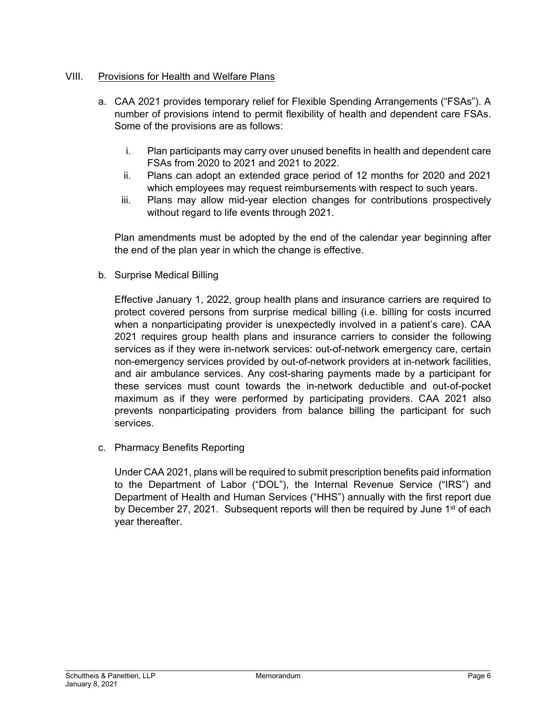# VIII. Provisions for Health and Welfare Plans

- a. CAA 2021 provides temporary relief for Flexible Spending Arrangements ("FSAs"). A number of provisions intend to permit flexibility of health and dependent care FSAs. Some of the provisions are as follows:
	- i. Plan participants may carry over unused benefits in health and dependent care FSAs from 2020 to 2021 and 2021 to 2022.
	- ii. Plans can adopt an extended grace period of 12 months for 2020 and 2021 which employees may request reimbursements with respect to such years.
	- iii. Plans may allow mid-year election changes for contributions prospectively without regard to life events through 2021.

Plan amendments must be adopted by the end of the calendar year beginning after the end of the plan year in which the change is effective.

b. Surprise Medical Billing

Effective January 1, 2022, group health plans and insurance carriers are required to protect covered persons from surprise medical billing (i.e. billing for costs incurred when a nonparticipating provider is unexpectedly involved in a patient's care). CAA 2021 requires group health plans and insurance carriers to consider the following services as if they were in-network services: out-of-network emergency care, certain non-emergency services provided by out-of-network providers at in-network facilities, and air ambulance services. Any cost-sharing payments made by a participant for these services must count towards the in-network deductible and out-of-pocket maximum as if they were performed by participating providers. CAA 2021 also prevents nonparticipating providers from balance billing the participant for such services.

c. Pharmacy Benefits Reporting

Under CAA 2021, plans will be required to submit prescription benefits paid information to the Department of Labor ("DOL"), the Internal Revenue Service ("IRS") and Department of Health and Human Services ("HHS") annually with the first report due by December 27, 2021. Subsequent reports will then be required by June  $1<sup>st</sup>$  of each year thereafter.